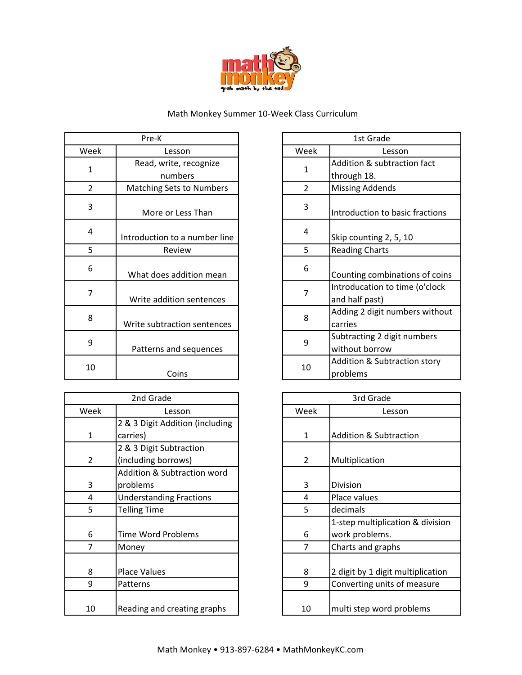

## Math Monkey Summer 10-Week Class Curriculum

| Pre-K          |                                   |   |                      | 1st Grade                                      |
|----------------|-----------------------------------|---|----------------------|------------------------------------------------|
| Week           | Lesson                            |   | Week                 | Lesson                                         |
| 1              | Read, write, recognize<br>numbers |   | $\mathbf{1}$         | <b>Addition &amp; subtracti</b><br>through 18. |
| $\overline{2}$ | <b>Matching Sets to Numbers</b>   |   | $\mathcal{P}$        | <b>Missing Addends</b>                         |
| 3              | More or Less Than                 | 3 | Introduction to basi |                                                |
| 4              | Introduction to a number line     |   | 4                    | Skip counting 2, 5, 1                          |
| 5              | Review                            |   | 5                    | <b>Reading Charts</b>                          |
| 6              | What does addition mean           |   | 6                    | Counting combinatio                            |
| 7              | Write addition sentences          |   | 7                    | Introducation to tim<br>and half past)         |
| 8              | Write subtraction sentences       |   | 8                    | Adding 2 digit numb<br>carries                 |
| 9              | Patterns and sequences            |   | 9                    | Subtracting 2 digit n<br>without borrow        |
| 10             | Coins                             |   | 10                   | <b>Addition &amp; Subtracti</b><br>problems    |

|                | 2nd Grade                       |                | 3rd Grade                         |
|----------------|---------------------------------|----------------|-----------------------------------|
| Week           | Lesson                          | Week           | Lesson                            |
|                | 2 & 3 Digit Addition (including |                |                                   |
| $\mathbf{1}$   | carries)                        | $\mathbf{1}$   | <b>Addition &amp; Subtraction</b> |
|                | 2 & 3 Digit Subtraction         |                |                                   |
| $\overline{2}$ | (including borrows)             | $\overline{2}$ | Multiplication                    |
|                | Addition & Subtraction word     |                |                                   |
| 3              | problems                        | 3              | Division                          |
| 4              | <b>Understanding Fractions</b>  | 4              | Place values                      |
| 5              | <b>Telling Time</b>             | 5              | decimals                          |
|                |                                 |                | 1-step multiplication & div       |
| 6              | <b>Time Word Problems</b>       | 6              | work problems.                    |
| 7              | Money                           | 7              | Charts and graphs                 |
|                |                                 |                |                                   |
| 8              | <b>Place Values</b>             | 8              | 2 digit by 1 digit multiplica     |
| 9              | Patterns                        | 9              | Converting units of measu         |
|                |                                 |                |                                   |
| 10             | Reading and creating graphs     | 10             | multi step word problems          |
|                |                                 |                |                                   |

| Pre-K                    |              | 1st Grade      |                                                  |  |
|--------------------------|--------------|----------------|--------------------------------------------------|--|
| Lesson                   |              | Week           | Lesson                                           |  |
| ead, write, recognize    | $\mathbf{1}$ |                | Addition & subtraction fact                      |  |
| numbers                  |              |                | through 18.                                      |  |
| ching Sets to Numbers    |              | $\overline{2}$ | <b>Missing Addends</b>                           |  |
| More or Less Than        |              | 3              | Introduction to basic fractions                  |  |
| duction to a number line |              | 4              | Skip counting 2, 5, 10                           |  |
| Review                   |              | 5              | <b>Reading Charts</b>                            |  |
| at does addition mean    |              | 6              | Counting combinations of coins                   |  |
| ite addition sentences   |              | 7              | Introducation to time (o'clock<br>and half past) |  |
| e subtraction sentences  |              | 8              | Adding 2 digit numbers without<br>carries        |  |
| tterns and sequences     |              | 9              | Subtracting 2 digit numbers<br>without borrow    |  |
| Coins                    |              | 10             | Addition & Subtraction story<br>problems         |  |

| 2nd Grade                       |  |              | 3rd Grade                         |
|---------------------------------|--|--------------|-----------------------------------|
| Lesson                          |  | Week         | Lesson                            |
| 2 & 3 Digit Addition (including |  |              |                                   |
| carries)                        |  | $\mathbf{1}$ | <b>Addition &amp; Subtraction</b> |
| 2 & 3 Digit Subtraction         |  |              |                                   |
| (including borrows)             |  | 2            | Multiplication                    |
| Addition & Subtraction word     |  |              |                                   |
| problems                        |  | 3            | Division                          |
| <b>Understanding Fractions</b>  |  | 4            | Place values                      |
| <b>Telling Time</b>             |  | 5            | decimals                          |
|                                 |  |              | 1-step multiplication & division  |
| <b>Time Word Problems</b>       |  | 6            | work problems.                    |
| Money                           |  | 7            | Charts and graphs                 |
|                                 |  |              |                                   |
| <b>Place Values</b>             |  | 8            | 2 digit by 1 digit multiplication |
| Patterns                        |  | 9            | Converting units of measure       |
|                                 |  |              |                                   |
| Reading and creating graphs     |  | 10           | multi step word problems          |
|                                 |  |              |                                   |